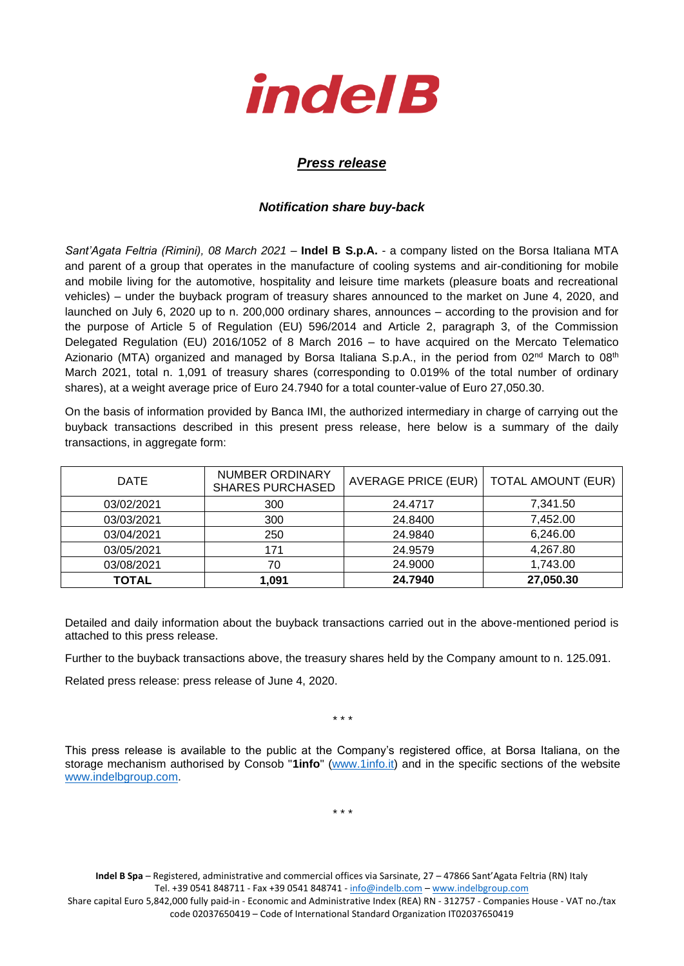

## *Press release*

## *Notification share buy-back*

*Sant'Agata Feltria (Rimini), 08 March 2021* – **Indel B S.p.A.** - a company listed on the Borsa Italiana MTA and parent of a group that operates in the manufacture of cooling systems and air-conditioning for mobile and mobile living for the automotive, hospitality and leisure time markets (pleasure boats and recreational vehicles) – under the buyback program of treasury shares announced to the market on June 4, 2020, and launched on July 6, 2020 up to n. 200,000 ordinary shares, announces – according to the provision and for the purpose of Article 5 of Regulation (EU) 596/2014 and Article 2, paragraph 3, of the Commission Delegated Regulation (EU) 2016/1052 of 8 March 2016 – to have acquired on the Mercato Telematico Azionario (MTA) organized and managed by Borsa Italiana S.p.A., in the period from 02<sup>nd</sup> March to 08<sup>th</sup> March 2021, total n. 1,091 of treasury shares (corresponding to 0.019% of the total number of ordinary shares), at a weight average price of Euro 24.7940 for a total counter-value of Euro 27,050.30.

On the basis of information provided by Banca IMI, the authorized intermediary in charge of carrying out the buyback transactions described in this present press release, here below is a summary of the daily transactions, in aggregate form:

| <b>DATE</b>  | <b>NUMBER ORDINARY</b><br><b>SHARES PURCHASED</b> | AVERAGE PRICE (EUR) | <b>TOTAL AMOUNT (EUR)</b> |
|--------------|---------------------------------------------------|---------------------|---------------------------|
| 03/02/2021   | 300                                               | 24.4717             | 7.341.50                  |
| 03/03/2021   | 300                                               | 24.8400             | 7,452.00                  |
| 03/04/2021   | 250                                               | 24.9840             | 6,246.00                  |
| 03/05/2021   | 171                                               | 24.9579             | 4,267.80                  |
| 03/08/2021   | 70                                                | 24.9000             | 1,743.00                  |
| <b>TOTAL</b> | 1,091                                             | 24.7940             | 27,050.30                 |

Detailed and daily information about the buyback transactions carried out in the above-mentioned period is attached to this press release.

Further to the buyback transactions above, the treasury shares held by the Company amount to n. 125.091.

Related press release: press release of June 4, 2020.

\* \* \*

This press release is available to the public at the Company's registered office, at Borsa Italiana, on the storage mechanism authorised by Consob "**1info**" [\(www.1info.it\)](file:///C:/Users/ddelietovollaro/AppData/Local/Microsoft/Windows/INetCache/Content.Outlook/T87B94UR/www.1info.it) and in the specific sections of the website [www.indelbgroup.com.](http://www.indelbgroup.com/)

\* \* \*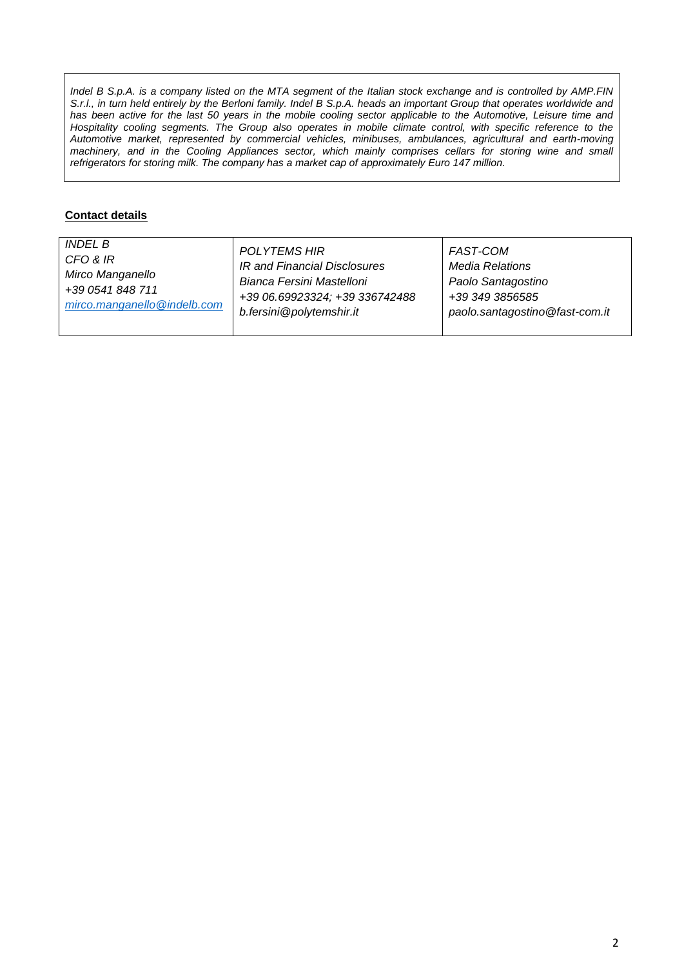*Indel B S.p.A. is a company listed on the MTA segment of the Italian stock exchange and is controlled by AMP.FIN S.r.l., in turn held entirely by the Berloni family. Indel B S.p.A. heads an important Group that operates worldwide and* has been active for the last 50 years in the mobile cooling sector applicable to the Automotive, Leisure time and Hospitality cooling segments. The Group also operates in mobile climate control, with specific reference to the *Automotive market, represented by commercial vehicles, minibuses, ambulances, agricultural and earth-moving machinery, and in the Cooling Appliances sector, which mainly comprises cellars for storing wine and small refrigerators for storing milk. The company has a market cap of approximately Euro 147 million.*

## **Contact details**

| <i>INDEL B</i>              | <b>POLYTEMS HIR</b>            | FAST-COM                       |
|-----------------------------|--------------------------------|--------------------------------|
| CFO & IR                    | IR and Financial Disclosures   | Media Relations                |
| Mirco Manganello            | Bianca Fersini Mastelloni      | Paolo Santagostino             |
| +39 0541 848 711            | +39 06.69923324; +39 336742488 | +39 349 3856585                |
| mirco.manganello@indelb.com | b.fersini@polytemshir.it       | paolo.santagostino@fast-com.it |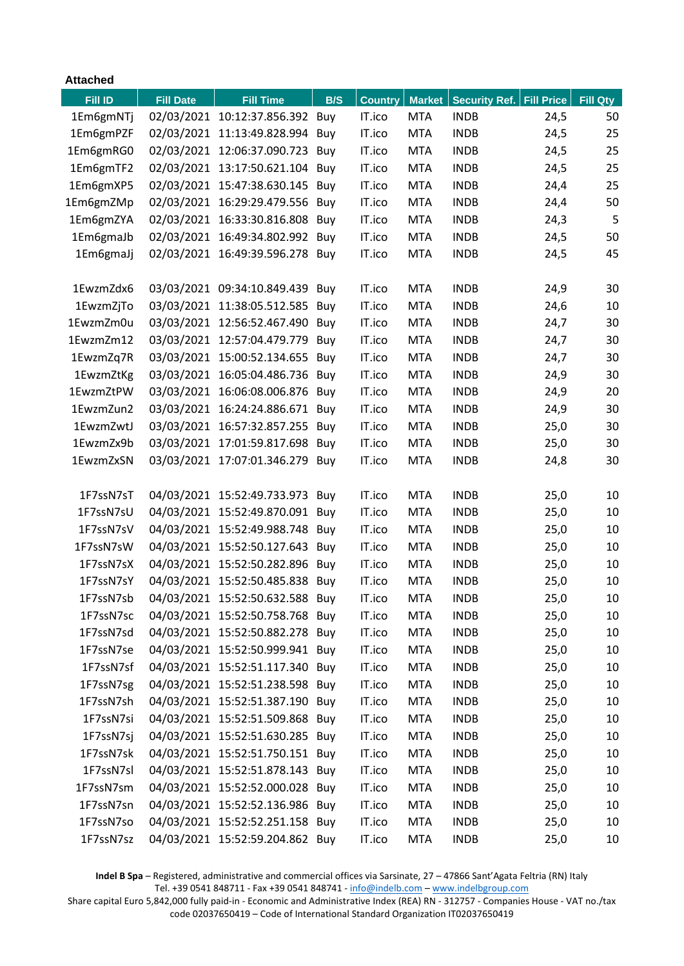| <b>Attached</b> |                  |                                 |     |                |               |                      |                   |                 |
|-----------------|------------------|---------------------------------|-----|----------------|---------------|----------------------|-------------------|-----------------|
| <b>Fill ID</b>  | <b>Fill Date</b> | <b>Fill Time</b>                | B/S | <b>Country</b> | <b>Market</b> | <b>Security Ref.</b> | <b>Fill Price</b> | <b>Fill Qty</b> |
| 1Em6gmNTj       |                  | 02/03/2021 10:12:37.856.392 Buy |     | IT.ico         | <b>MTA</b>    | <b>INDB</b>          | 24,5              | 50              |
| 1Em6gmPZF       |                  | 02/03/2021 11:13:49.828.994     | Buy | IT.ico         | <b>MTA</b>    | <b>INDB</b>          | 24,5              | 25              |
| 1Em6gmRG0       |                  | 02/03/2021 12:06:37.090.723     | Buy | IT.ico         | <b>MTA</b>    | <b>INDB</b>          | 24,5              | 25              |
| 1Em6gmTF2       |                  | 02/03/2021 13:17:50.621.104     | Buy | IT.ico         | <b>MTA</b>    | <b>INDB</b>          | 24,5              | 25              |
| 1Em6gmXP5       |                  | 02/03/2021 15:47:38.630.145     | Buy | IT.ico         | <b>MTA</b>    | <b>INDB</b>          | 24,4              | 25              |
| 1Em6gmZMp       |                  | 02/03/2021 16:29:29.479.556     | Buy | IT.ico         | <b>MTA</b>    | <b>INDB</b>          | 24,4              | 50              |
| 1Em6gmZYA       |                  | 02/03/2021 16:33:30.816.808     | Buy | IT.ico         | <b>MTA</b>    | <b>INDB</b>          | 24,3              | 5               |
| 1Em6gmaJb       |                  | 02/03/2021 16:49:34.802.992     | Buy | IT.ico         | <b>MTA</b>    | <b>INDB</b>          | 24,5              | 50              |
| 1Em6gmaJj       |                  | 02/03/2021 16:49:39.596.278     | Buy | IT.ico         | <b>MTA</b>    | <b>INDB</b>          | 24,5              | 45              |
|                 |                  |                                 |     |                |               |                      |                   |                 |
| 1EwzmZdx6       |                  | 03/03/2021 09:34:10.849.439 Buy |     | IT.ico         | <b>MTA</b>    | <b>INDB</b>          | 24,9              | 30              |
| 1EwzmZjTo       |                  | 03/03/2021 11:38:05.512.585     | Buy | IT.ico         | <b>MTA</b>    | <b>INDB</b>          | 24,6              | 10              |
| 1EwzmZm0u       |                  | 03/03/2021 12:56:52.467.490     | Buy | IT.ico         | <b>MTA</b>    | <b>INDB</b>          | 24,7              | 30              |
| 1EwzmZm12       |                  | 03/03/2021 12:57:04.479.779     | Buy | IT.ico         | <b>MTA</b>    | <b>INDB</b>          | 24,7              | 30              |
| 1EwzmZq7R       |                  | 03/03/2021 15:00:52.134.655     | Buy | IT.ico         | <b>MTA</b>    | <b>INDB</b>          | 24,7              | 30              |
| 1EwzmZtKg       |                  | 03/03/2021 16:05:04.486.736     | Buy | IT.ico         | <b>MTA</b>    | <b>INDB</b>          | 24,9              | 30              |
| 1EwzmZtPW       |                  | 03/03/2021 16:06:08.006.876     | Buy | IT.ico         | <b>MTA</b>    | <b>INDB</b>          | 24,9              | 20              |
| 1EwzmZun2       |                  | 03/03/2021 16:24:24.886.671     | Buy | IT.ico         | <b>MTA</b>    | <b>INDB</b>          | 24,9              | 30              |
| 1EwzmZwtJ       |                  | 03/03/2021 16:57:32.857.255     | Buy | IT.ico         | <b>MTA</b>    | <b>INDB</b>          | 25,0              | 30              |
| 1EwzmZx9b       |                  | 03/03/2021 17:01:59.817.698     | Buy | IT.ico         | <b>MTA</b>    | <b>INDB</b>          | 25,0              | 30              |
| 1EwzmZxSN       |                  | 03/03/2021 17:07:01.346.279     | Buy | IT.ico         | <b>MTA</b>    | <b>INDB</b>          | 24,8              | 30              |
|                 |                  |                                 |     |                |               |                      |                   |                 |
| 1F7ssN7sT       |                  | 04/03/2021 15:52:49.733.973     | Buy | IT.ico         | <b>MTA</b>    | <b>INDB</b>          | 25,0              | 10              |
| 1F7ssN7sU       |                  | 04/03/2021 15:52:49.870.091     | Buy | IT.ico         | <b>MTA</b>    | <b>INDB</b>          | 25,0              | 10              |
| 1F7ssN7sV       | 04/03/2021       | 15:52:49.988.748                | Buy | IT.ico         | <b>MTA</b>    | <b>INDB</b>          | 25,0              | 10              |
| 1F7ssN7sW       |                  | 04/03/2021 15:52:50.127.643     | Buy | IT.ico         | <b>MTA</b>    | <b>INDB</b>          | 25,0              | 10              |
| 1F7ssN7sX       |                  | 04/03/2021 15:52:50.282.896     | Buy | IT.ico         | <b>MTA</b>    | <b>INDB</b>          | 25,0              | 10              |
| 1F7ssN7sY       |                  | 04/03/2021 15:52:50.485.838     | Buy | IT.ico         | <b>MTA</b>    | <b>INDB</b>          | 25,0              | 10              |
| 1F7ssN7sb       |                  | 04/03/2021 15:52:50.632.588 Buy |     | IT.ico         | <b>MTA</b>    | <b>INDB</b>          | 25,0              | 10              |
| 1F7ssN7sc       |                  | 04/03/2021 15:52:50.758.768 Buy |     | IT.ico         | <b>MTA</b>    | <b>INDB</b>          | 25,0              | 10              |
| 1F7ssN7sd       |                  | 04/03/2021 15:52:50.882.278 Buy |     | IT.ico         | <b>MTA</b>    | <b>INDB</b>          | 25,0              | 10              |
| 1F7ssN7se       |                  | 04/03/2021 15:52:50.999.941 Buy |     | IT.ico         | <b>MTA</b>    | <b>INDB</b>          | 25,0              | 10              |
| 1F7ssN7sf       |                  | 04/03/2021 15:52:51.117.340 Buy |     | IT.ico         | <b>MTA</b>    | <b>INDB</b>          | 25,0              | 10              |
| 1F7ssN7sg       |                  | 04/03/2021 15:52:51.238.598 Buy |     | IT.ico         | <b>MTA</b>    | <b>INDB</b>          | 25,0              | 10              |
| 1F7ssN7sh       |                  | 04/03/2021 15:52:51.387.190 Buy |     | IT.ico         | <b>MTA</b>    | <b>INDB</b>          | 25,0              | 10              |
| 1F7ssN7si       |                  | 04/03/2021 15:52:51.509.868 Buy |     | IT.ico         | <b>MTA</b>    | <b>INDB</b>          | 25,0              | 10              |
| 1F7ssN7sj       |                  | 04/03/2021 15:52:51.630.285 Buy |     | IT.ico         | <b>MTA</b>    | <b>INDB</b>          | 25,0              | 10              |
| 1F7ssN7sk       |                  | 04/03/2021 15:52:51.750.151 Buy |     | IT.ico         | <b>MTA</b>    | <b>INDB</b>          | 25,0              | 10              |
| 1F7ssN7sl       |                  | 04/03/2021 15:52:51.878.143 Buy |     | IT.ico         | <b>MTA</b>    | <b>INDB</b>          | 25,0              | 10              |
| 1F7ssN7sm       |                  | 04/03/2021 15:52:52.000.028 Buy |     | IT.ico         | <b>MTA</b>    | <b>INDB</b>          | 25,0              | 10              |
| 1F7ssN7sn       |                  | 04/03/2021 15:52:52.136.986 Buy |     | IT.ico         | <b>MTA</b>    | <b>INDB</b>          | 25,0              | 10              |
| 1F7ssN7so       |                  | 04/03/2021 15:52:52.251.158 Buy |     | IT.ico         | <b>MTA</b>    | <b>INDB</b>          | 25,0              | 10              |
| 1F7ssN7sz       |                  | 04/03/2021 15:52:59.204.862 Buy |     | IT.ico         | <b>MTA</b>    | <b>INDB</b>          | 25,0              | 10              |

**Indel B Spa** – Registered, administrative and commercial offices via Sarsinate, 27 – 47866 Sant'Agata Feltria (RN) Italy Tel. +39 0541 848711 - Fax +39 0541 848741 - [info@indelb.com](mailto:info@indelb.com) – [www.indelbgroup.com](http://www.indelbgroup.com/)

Share capital Euro 5,842,000 fully paid-in - Economic and Administrative Index (REA) RN - 312757 - Companies House - VAT no./tax code 02037650419 – Code of International Standard Organization IT02037650419